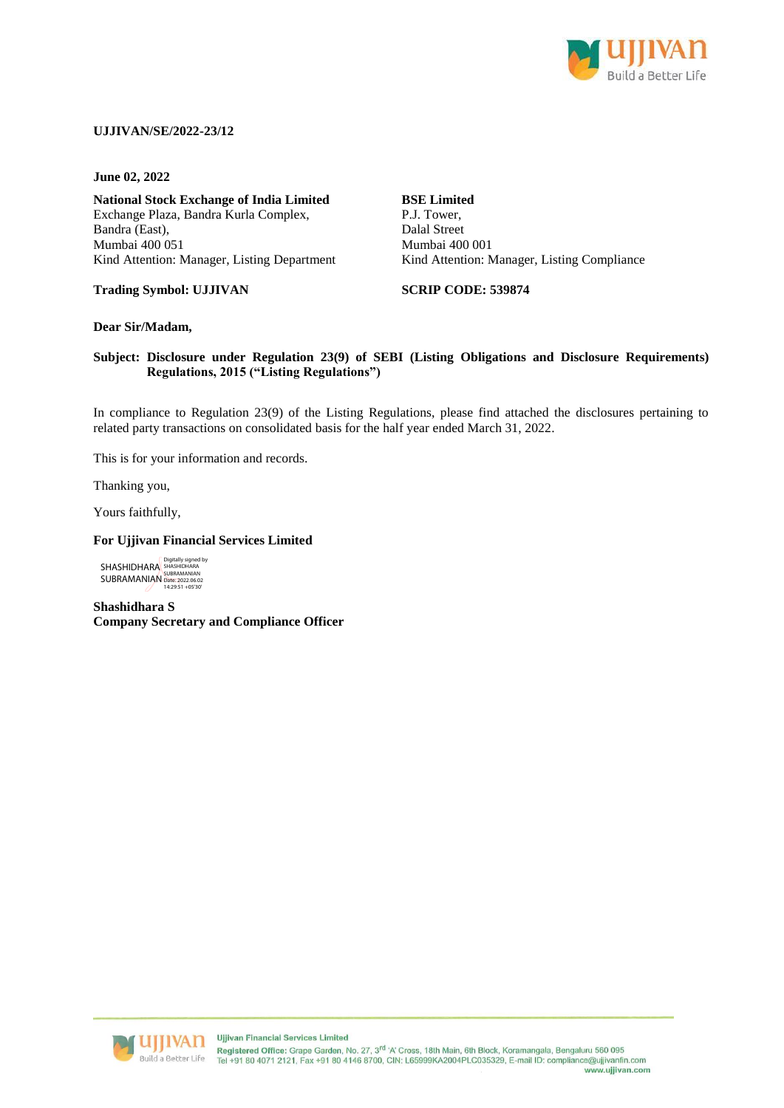

## **UJJIVAN/SE/2022-23/12**

**June 02, 2022**

**National Stock Exchange of India Limited** Exchange Plaza, Bandra Kurla Complex, Bandra (East), Mumbai 400 051 Kind Attention: Manager, Listing Department

P.J. Tower, Dalal Street Mumbai 400 001 Kind Attention: Manager, Listing Compliance

**Trading Symbol: UJJIVAN**

**SCRIP CODE: 539874**

**BSE Limited**

## **Dear Sir/Madam,**

## **Subject: Disclosure under Regulation 23(9) of SEBI (Listing Obligations and Disclosure Requirements) Regulations, 2015 ("Listing Regulations")**

In compliance to Regulation 23(9) of the Listing Regulations, please find attached the disclosures pertaining to related party transactions on consolidated basis for the half year ended March 31, 2022.

This is for your information and records.

Thanking you,

Yours faithfully,

## **For Ujjivan Financial Services Limited**

**SHASHIDHARA** SUBRAMANIAN Digitally signed by SHASHIDHARA SUBRAMANIAN Date: 2022.06.02 14:29:51 +05'30'

**Shashidhara S Company Secretary and Compliance Officer**